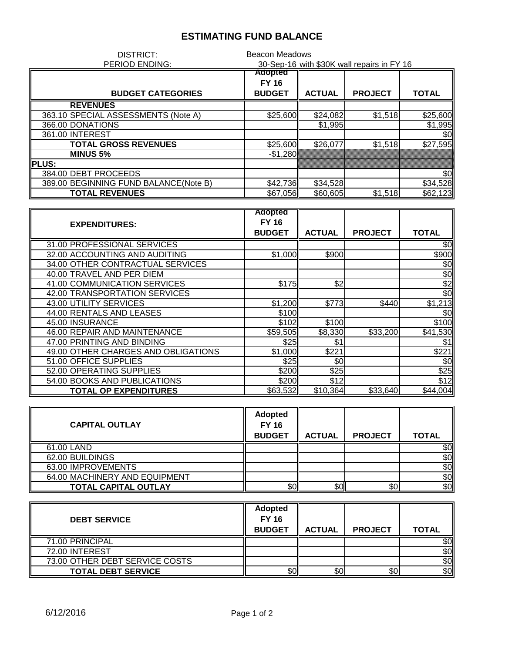## **ESTIMATING FUND BALANCE**

| DISTRICT:                             | <b>Beacon Meadows</b>                      |               |                |              |
|---------------------------------------|--------------------------------------------|---------------|----------------|--------------|
| <b>PERIOD ENDING:</b>                 | 30-Sep-16 with \$30K wall repairs in FY 16 |               |                |              |
|                                       | Adopted                                    |               |                |              |
|                                       | <b>FY 16</b>                               |               |                |              |
| <b>BUDGET CATEGORIES</b>              | <b>BUDGET</b>                              | <b>ACTUAL</b> | <b>PROJECT</b> | <b>TOTAL</b> |
| <b>REVENUES</b>                       |                                            |               |                |              |
| 363.10 SPECIAL ASSESSMENTS (Note A)   | \$25,600                                   | \$24,082      | \$1,518        | \$25,600     |
| 366.00 DONATIONS                      |                                            | \$1,995       |                | \$1,995      |
| 361.00 INTEREST                       |                                            |               |                | \$0          |
| <b>TOTAL GROSS REVENUES</b>           | \$25,600                                   | \$26,077      | \$1,518        | \$27,595     |
| <b>MINUS 5%</b>                       | $-$1,280$                                  |               |                |              |
| <b>IPLUS:</b>                         |                                            |               |                |              |
| 384.00 DEBT PROCEEDS                  |                                            |               |                | \$0          |
| 389.00 BEGINNING FUND BALANCE(Note B) | \$42,736                                   | \$34,528      |                | \$34,528     |
| <b>TOTAL REVENUES</b>                 | \$67,056                                   | \$60,605      | \$1,518        | \$62,123     |

|                                     | Adopted       |               |                |               |
|-------------------------------------|---------------|---------------|----------------|---------------|
| <b>EXPENDITURES:</b>                | <b>FY 16</b>  |               |                |               |
|                                     | <b>BUDGET</b> | <b>ACTUAL</b> | <b>PROJECT</b> | <b>TOTAL</b>  |
| 31.00 PROFESSIONAL SERVICES         |               |               |                | \$0           |
| 32.00 ACCOUNTING AND AUDITING       | \$1,000       | \$900         |                | \$900         |
| 34.00 OTHER CONTRACTUAL SERVICES    |               |               |                | \$0           |
| 40.00 TRAVEL AND PER DIEM           |               |               |                | \$0           |
| 41.00 COMMUNICATION SERVICES        | \$175         | 2             |                | \$2           |
| 42.00 TRANSPORTATION SERVICES       |               |               |                | $\frac{6}{3}$ |
| 43.00 UTILITY SERVICES              | \$1,200       | \$773         | \$440          | \$1,213       |
| 44.00 RENTALS AND LEASES            | \$100         |               |                | \$0           |
| 45.00 INSURANCE                     | \$102         | \$100         |                | \$100         |
| 46.00 REPAIR AND MAINTENANCE        | \$59,505      | \$8,330       | \$33,200       | \$41,530      |
| 47.00 PRINTING AND BINDING          | \$25          | \$1           |                | \$1           |
| 49.00 OTHER CHARGES AND OBLIGATIONS | \$1,000       | \$221         |                | \$221         |
| 51.00 OFFICE SUPPLIES               | \$25          | \$0           |                | \$0           |
| 52.00 OPERATING SUPPLIES            | \$200         | \$25          |                | \$25          |
| 54.00 BOOKS AND PUBLICATIONS        | \$200         | \$12          |                | \$12          |
| <b>TOTAL OP EXPENDITURES</b>        | \$63,532      | \$10.364      | \$33,640       | \$44,004      |

| <b>CAPITAL OUTLAY</b>         | <b>Adopted</b><br><b>FY 16</b><br><b>BUDGET</b> | <b>ACTUAL</b> | <b>PROJECT</b> | <b>TOTAL</b> |
|-------------------------------|-------------------------------------------------|---------------|----------------|--------------|
| 61.00 LAND                    |                                                 |               |                | \$0          |
| 62.00 BUILDINGS               |                                                 |               |                | \$0          |
| 63.00 IMPROVEMENTS            |                                                 |               |                | \$0          |
| 64.00 MACHINERY AND EQUIPMENT |                                                 |               |                | \$0          |
| <b>TOTAL CAPITAL OUTLAY</b>   | \$0                                             | \$٥Ι          | \$0            | \$0          |

| <b>DEBT SERVICE</b>            | <b>Adopted</b><br><b>FY 16</b><br><b>BUDGET</b> | <b>ACTUAL</b> | <b>PROJECT</b> | <b>TOTAL</b> |
|--------------------------------|-------------------------------------------------|---------------|----------------|--------------|
| 71.00 PRINCIPAL                |                                                 |               |                | \$0          |
| 72.00 INTEREST                 |                                                 |               |                | \$0          |
| 73.00 OTHER DEBT SERVICE COSTS |                                                 |               |                | \$0          |
| <b>TOTAL DEBT SERVICE</b>      | \$0                                             | \$0           | \$0            | \$0          |